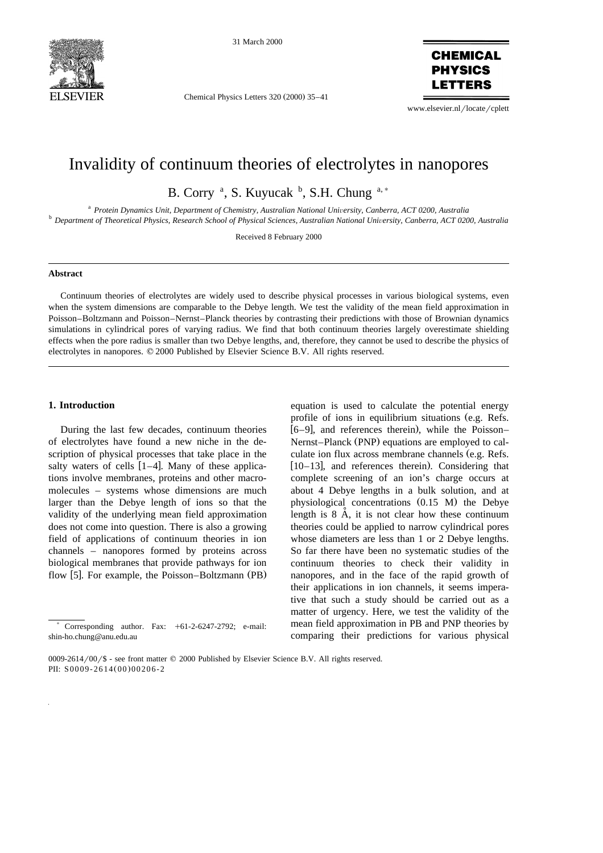

31 March 2000

Chemical Physics Letters 320 (2000) 35-41



www.elsevier.nl/locate/cplett

# Invalidity of continuum theories of electrolytes in nanopores

B. Corry<sup>a</sup>, S. Kuyucak<sup>b</sup>, S.H. Chung<sup>a,\*</sup>

<sup>a</sup> Protein Dynamics Unit, Department of Chemistry, Australian National University, Canberra, ACT 0200, Australia<br><sup>b</sup> Department of Theoretical Physics, Research School of Physical Sciences, Australian National University,

Received 8 February 2000

#### **Abstract**

Continuum theories of electrolytes are widely used to describe physical processes in various biological systems, even when the system dimensions are comparable to the Debye length. We test the validity of the mean field approximation in Poisson–Boltzmann and Poisson–Nernst–Planck theories by contrasting their predictions with those of Brownian dynamics simulations in cylindrical pores of varying radius. We find that both continuum theories largely overestimate shielding effects when the pore radius is smaller than two Debye lengths, and, therefore, they cannot be used to describe the physics of electrolytes in nanopores.  $© 2000$  Published by Elsevier Science B.V. All rights reserved.

# **1. Introduction**

During the last few decades, continuum theories of electrolytes have found a new niche in the description of physical processes that take place in the salty waters of cells  $[1-4]$ . Many of these applications involve membranes, proteins and other macromolecules – systems whose dimensions are much larger than the Debye length of ions so that the validity of the underlying mean field approximation does not come into question. There is also a growing field of applications of continuum theories in ion channels – nanopores formed by proteins across biological membranes that provide pathways for ion flow  $[5]$ . For example, the Poisson–Boltzmann (PB)

equation is used to calculate the potential energy profile of ions in equilibrium situations (e.g. Refs.  $\left[6-9\right]$ , and references therein), while the Poisson-Nernst–Planck (PNP) equations are employed to calculate ion flux across membrane channels (e.g. Refs.  $[10-13]$ , and references therein). Considering that complete screening of an ion's charge occurs at about 4 Debye lengths in a bulk solution, and at physiological concentrations  $(0.15 \text{ M})$  the Debye length is  $8$   $\AA$ , it is not clear how these continuum theories could be applied to narrow cylindrical pores whose diameters are less than 1 or 2 Debye lengths. So far there have been no systematic studies of the continuum theories to check their validity in nanopores, and in the face of the rapid growth of their applications in ion channels, it seems imperative that such a study should be carried out as a matter of urgency. Here, we test the validity of the mean field approximation in PB and PNP theories by comparing their predictions for various physical

Corresponding author. Fax:  $+61-2-6247-2792$ ; e-mail: shin-ho.chung@anu.edu.au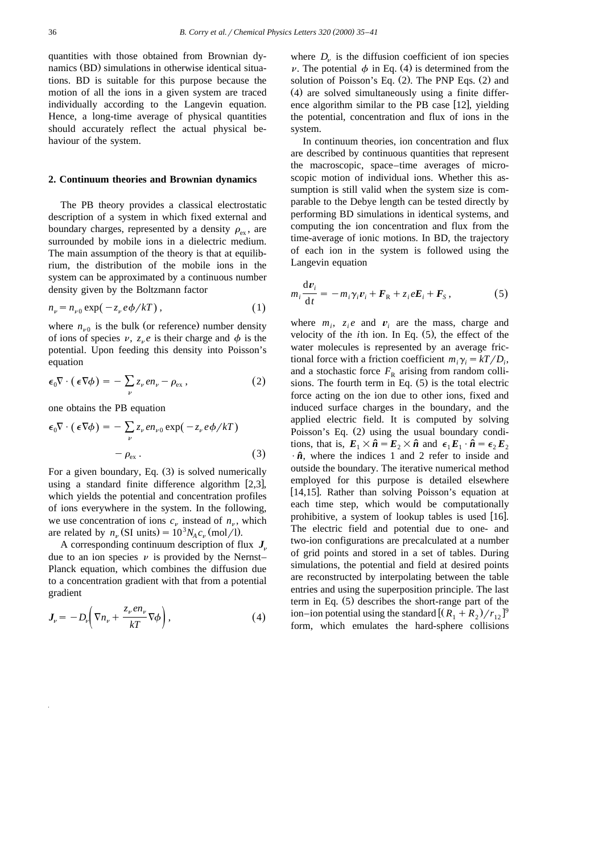quantities with those obtained from Brownian dynamics (BD) simulations in otherwise identical situations. BD is suitable for this purpose because the motion of all the ions in a given system are traced individually according to the Langevin equation. Hence, a long-time average of physical quantities should accurately reflect the actual physical behaviour of the system.

#### **2. Continuum theories and Brownian dynamics**

The PB theory provides a classical electrostatic description of a system in which fixed external and boundary charges, represented by a density  $\rho_{\rm av}$ , are surrounded by mobile ions in a dielectric medium. The main assumption of the theory is that at equilibrium, the distribution of the mobile ions in the system can be approximated by a continuous number density given by the Boltzmann factor

$$
n_{\nu} = n_{\nu 0} \exp(-z_{\nu} e \phi / kT), \qquad (1)
$$

where  $n_{\nu 0}$  is the bulk (or reference) number density of ions of species  $\nu$ ,  $z_{\nu}e$  is their charge and  $\phi$  is the potential. Upon feeding this density into Poisson's equation

$$
\epsilon_0 \nabla \cdot (\epsilon \nabla \phi) = - \sum_{\nu} z_{\nu} e n_{\nu} - \rho_{\text{ex}} , \qquad (2)
$$

one obtains the PB equation

$$
\epsilon_0 \nabla \cdot (\epsilon \nabla \phi) = - \sum_{\nu} z_{\nu} e n_{\nu 0} \exp(-z_{\nu} e \phi / kT) - \rho_{\text{ex}}.
$$
 (3)

For a given boundary, Eq.  $(3)$  is solved numerically using a standard finite difference algorithm  $[2,3]$ , which yields the potential and concentration profiles of ions everywhere in the system. In the following, we use concentration of ions  $c_v$  instead of  $n_v$ , which are related by  $n_v$  (SI units) =  $10^3 N_A c_v$  (mol/l).

A corresponding continuum description of flux  $J_{n}$ due to an ion species  $\nu$  is provided by the Nernst– Planck equation, which combines the diffusion due to a concentration gradient with that from a potential gradient

$$
J_{\nu} = -D_{\nu} \left( \nabla n_{\nu} + \frac{z_{\nu} e n_{\nu}}{kT} \nabla \phi \right), \tag{4}
$$

where  $D_{\nu}$  is the diffusion coefficient of ion species v. The potential  $\phi$  in Eq. (4) is determined from the solution of Poisson's Eq.  $(2)$ . The PNP Eqs.  $(2)$  and  $(4)$  are solved simultaneously using a finite difference algorithm similar to the PB case  $[12]$ , yielding the potential, concentration and flux of ions in the system.

In continuum theories, ion concentration and flux are described by continuous quantities that represent the macroscopic, space–time averages of microscopic motion of individual ions. Whether this assumption is still valid when the system size is comparable to the Debye length can be tested directly by performing BD simulations in identical systems, and computing the ion concentration and flux from the time-average of ionic motions. In BD, the trajectory of each ion in the system is followed using the Langevin equation

$$
m_i \frac{\mathrm{d}v_i}{\mathrm{d}t} = -m_i \gamma_i v_i + \mathbf{F}_R + z_i e \mathbf{E}_i + \mathbf{F}_S, \qquad (5)
$$

where  $m_i$ ,  $z_i e$  and  $v_i$  are the mass, charge and velocity of the *th ion. In Eq.*  $(5)$ *, the effect of the* water molecules is represented by an average frictional force with a friction coefficient  $m_i \gamma_i = kT/D_i$ , and a stochastic force  $F_R$  arising from random collisions. The fourth term in Eq.  $(5)$  is the total electric force acting on the ion due to other ions, fixed and induced surface charges in the boundary, and the applied electric field. It is computed by solving Poisson's Eq.  $(2)$  using the usual boundary conditions, that is,  $E_1 \times \hat{n} = E_2 \times \hat{n}$  and  $\epsilon_1 E_1 \cdot \hat{n} = \epsilon_2 E_2$  $\cdot \hat{n}$ , where the indices 1 and 2 refer to inside and outside the boundary. The iterative numerical method employed for this purpose is detailed elsewhere  $[14, 15]$ . Rather than solving Poisson's equation at each time step, which would be computationally prohibitive, a system of lookup tables is used  $[16]$ . The electric field and potential due to one- and two-ion configurations are precalculated at a number of grid points and stored in a set of tables. During simulations, the potential and field at desired points are reconstructed by interpolating between the table entries and using the superposition principle. The last term in Eq.  $(5)$  describes the short-range part of the ion–ion potential using the standard  $[(R_1 + R_2)/r_{12}]^9$ form, which emulates the hard-sphere collisions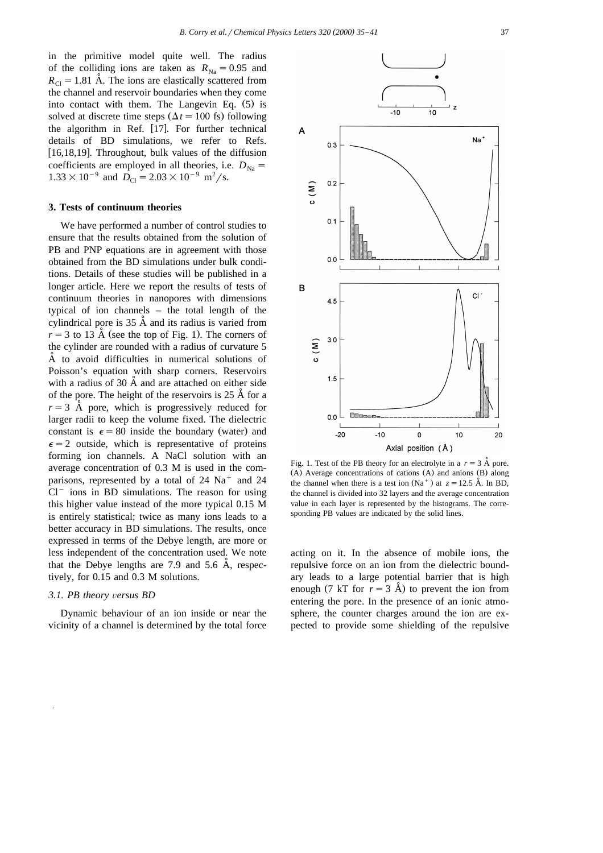in the primitive model quite well. The radius of the colliding ions are taken as  $R_{\text{Na}} = 0.95$  and  $R_{\text{Cl}} = 1.81$  Å. The ions are elastically scattered from the channel and reservoir boundaries when they come into contact with them. The Langevin Eq.  $(5)$  is solved at discrete time steps  $(\Delta t = 100 \text{ fs})$  following the algorithm in Ref.  $[17]$ . For further technical details of BD simulations, we refer to Refs. [16,18,19]. Throughout, bulk values of the diffusion coefficients are employed in all theories, i.e.  $D_{N_a}$  =  $1.33 \times 10^{-9}$  and  $D_{\text{Cl}} = 2.03 \times 10^{-9}$  m<sup>2</sup>/s.

## **3. Tests of continuum theories**

We have performed a number of control studies to ensure that the results obtained from the solution of PB and PNP equations are in agreement with those obtained from the BD simulations under bulk conditions. Details of these studies will be published in a longer article. Here we report the results of tests of continuum theories in nanopores with dimensions typical of ion channels – the total length of the cylindrical pore is  $35 \text{ Å}$  and its radius is varied from  $r = 3$  to 13 Å (see the top of Fig. 1). The corners of the cylinder are rounded with a radius of curvature 5  $\AA$  to avoid difficulties in numerical solutions of Poisson's equation with sharp corners. Reservoirs with a radius of  $30 \text{ Å}$  and are attached on either side of the pore. The height of the reservoirs is  $25 \text{ Å}$  for a  $r = 3$  Å pore, which is progressively reduced for larger radii to keep the volume fixed. The dielectric constant is  $\epsilon = 80$  inside the boundary (water) and  $\epsilon$  = 2 outside, which is representative of proteins forming ion channels. A NaCl solution with an average concentration of 0.3 M is used in the comparisons, represented by a total of  $24 \text{ Na}^+$  and  $24$  $Cl^-$  ions in BD simulations. The reason for using this higher value instead of the more typical 0.15 M is entirely statistical; twice as many ions leads to a better accuracy in BD simulations. The results, once expressed in terms of the Debye length, are more or less independent of the concentration used. We note that the Debye lengths are  $7.9$  and  $5.6$  Å, respectively, for 0.15 and 0.3 M solutions.

#### *3.1. PB theory* Õ*ersus BD*

Dynamic behaviour of an ion inside or near the vicinity of a channel is determined by the total force



Fig. 1. Test of the PB theory for an electrolyte in a  $r = 3$  Å pore.  $(A)$  Average concentrations of cations  $(A)$  and anions  $(B)$  along the channel when there is a test ion  $(Na^+)$  at  $z = 12.5$  Å. In BD, the channel is divided into 32 layers and the average concentration value in each layer is represented by the histograms. The corresponding PB values are indicated by the solid lines.

acting on it. In the absence of mobile ions, the repulsive force on an ion from the dielectric boundary leads to a large potential barrier that is high enough (7 kT for  $r = 3$  Å) to prevent the ion from entering the pore. In the presence of an ionic atmosphere, the counter charges around the ion are expected to provide some shielding of the repulsive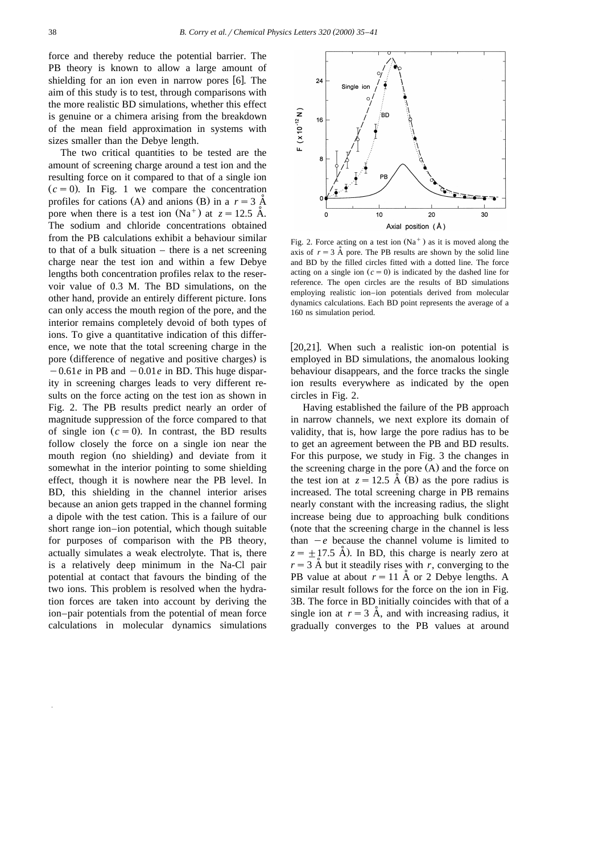force and thereby reduce the potential barrier. The PB theory is known to allow a large amount of shielding for an ion even in narrow pores  $[6]$ . The aim of this study is to test, through comparisons with the more realistic BD simulations, whether this effect is genuine or a chimera arising from the breakdown of the mean field approximation in systems with sizes smaller than the Debye length.

The two critical quantities to be tested are the amount of screening charge around a test ion and the resulting force on it compared to that of a single ion  $(c = 0)$ . In Fig. 1 we compare the concentration profiles for cations (A) and anions (B) in a  $r = 3$   $\AA$ pore when there is a test ion  $(Na^{+})$  at  $z = 12.5$  Å. The sodium and chloride concentrations obtained from the PB calculations exhibit a behaviour similar to that of a bulk situation – there is a net screening charge near the test ion and within a few Debye lengths both concentration profiles relax to the reservoir value of 0.3 M. The BD simulations, on the other hand, provide an entirely different picture. Ions can only access the mouth region of the pore, and the interior remains completely devoid of both types of ions. To give a quantitative indication of this difference, we note that the total screening charge in the pore (difference of negative and positive charges) is  $-0.61e$  in PB and  $-0.01e$  in BD. This huge disparity in screening charges leads to very different results on the force acting on the test ion as shown in Fig. 2. The PB results predict nearly an order of magnitude suppression of the force compared to that of single ion  $(c = 0)$ . In contrast, the BD results follow closely the force on a single ion near the mouth region (no shielding) and deviate from it somewhat in the interior pointing to some shielding effect, though it is nowhere near the PB level. In BD, this shielding in the channel interior arises because an anion gets trapped in the channel forming a dipole with the test cation. This is a failure of our short range ion–ion potential, which though suitable for purposes of comparison with the PB theory, actually simulates a weak electrolyte. That is, there is a relatively deep minimum in the Na-Cl pair potential at contact that favours the binding of the two ions. This problem is resolved when the hydration forces are taken into account by deriving the ion–pair potentials from the potential of mean force calculations in molecular dynamics simulations



Fig. 2. Force acting on a test ion  $(Na<sup>+</sup>)$  as it is moved along the axis of  $r = 3$  Å pore. The PB results are shown by the solid line and BD by the filled circles fitted with a dotted line. The force acting on a single ion  $(c = 0)$  is indicated by the dashed line for reference. The open circles are the results of BD simulations employing realistic ion–ion potentials derived from molecular dynamics calculations. Each BD point represents the average of a 160 ns simulation period.

[20,21]. When such a realistic ion-on potential is employed in BD simulations, the anomalous looking behaviour disappears, and the force tracks the single ion results everywhere as indicated by the open circles in Fig. 2.

Having established the failure of the PB approach in narrow channels, we next explore its domain of validity, that is, how large the pore radius has to be to get an agreement between the PB and BD results. For this purpose, we study in Fig. 3 the changes in the screening charge in the pore  $(A)$  and the force on the test ion at  $z = 12.5$  A (B) as the pore radius is increased. The total screening charge in PB remains nearly constant with the increasing radius, the slight increase being due to approaching bulk conditions (note that the screening charge in the channel is less than  $-e$  because the channel volume is limited to  $z = \pm 17.5$  A). In BD, this charge is nearly zero at  $r = 3$  Å but it steadily rises with r, converging to the PB value at about  $r = 11$  Å or 2 Debye lengths. A similar result follows for the force on the ion in Fig. 3B. The force in BD initially coincides with that of a single ion at  $r = 3$  Å, and with increasing radius, it gradually converges to the PB values at around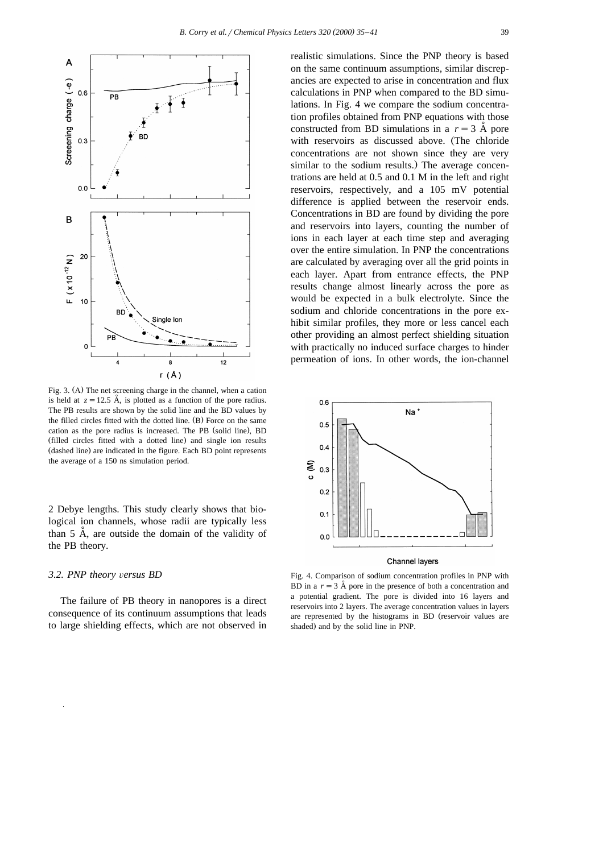

Fig. 3. (A) The net screening charge in the channel, when a cation is held at  $z = 12.5$  Å, is plotted as a function of the pore radius. The PB results are shown by the solid line and the BD values by the filled circles fitted with the dotted line.  $(B)$  Force on the same cation as the pore radius is increased. The PB (solid line), BD (filled circles fitted with a dotted line) and single ion results (dashed line) are indicated in the figure. Each BD point represents the average of a 150 ns simulation period.

2 Debye lengths. This study clearly shows that biological ion channels, whose radii are typically less than  $5$  Å, are outside the domain of the validity of the PB theory.

### *3.2. PNP theory* Õ*ersus BD*

The failure of PB theory in nanopores is a direct consequence of its continuum assumptions that leads to large shielding effects, which are not observed in realistic simulations. Since the PNP theory is based on the same continuum assumptions, similar discrepancies are expected to arise in concentration and flux calculations in PNP when compared to the BD simulations. In Fig. 4 we compare the sodium concentration profiles obtained from PNP equations with those constructed from BD simulations in a  $r = 3$  Å pore with reservoirs as discussed above. (The chloride concentrations are not shown since they are very similar to the sodium results.) The average concentrations are held at 0.5 and 0.1 M in the left and right reservoirs, respectively, and a 105 mV potential difference is applied between the reservoir ends. Concentrations in BD are found by dividing the pore and reservoirs into layers, counting the number of ions in each layer at each time step and averaging over the entire simulation. In PNP the concentrations are calculated by averaging over all the grid points in each layer. Apart from entrance effects, the PNP results change almost linearly across the pore as would be expected in a bulk electrolyte. Since the sodium and chloride concentrations in the pore exhibit similar profiles, they more or less cancel each other providing an almost perfect shielding situation with practically no induced surface charges to hinder permeation of ions. In other words, the ion-channel



#### Channel layers

Fig. 4. Comparison of sodium concentration profiles in PNP with BD in a  $r = 3$  Å pore in the presence of both a concentration and a potential gradient. The pore is divided into 16 layers and reservoirs into 2 layers. The average concentration values in layers are represented by the histograms in BD (reservoir values are shaded) and by the solid line in PNP.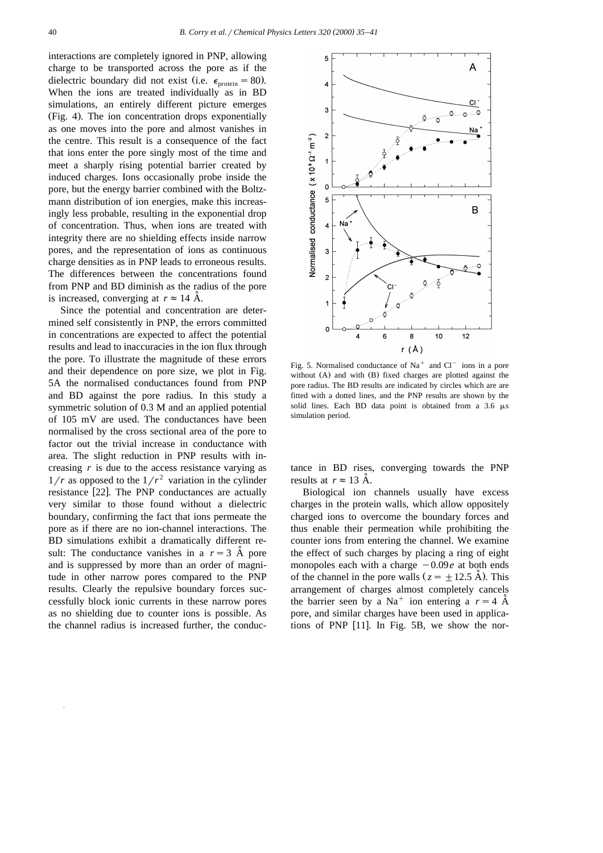interactions are completely ignored in PNP, allowing charge to be transported across the pore as if the dielectric boundary did not exist (i.e.  $\epsilon_{\text{protein}} = 80$ ). When the ions are treated individually as in BD simulations, an entirely different picture emerges (Fig. 4). The ion concentration drops exponentially as one moves into the pore and almost vanishes in the centre. This result is a consequence of the fact that ions enter the pore singly most of the time and meet a sharply rising potential barrier created by induced charges. Ions occasionally probe inside the pore, but the energy barrier combined with the Boltzmann distribution of ion energies, make this increasingly less probable, resulting in the exponential drop of concentration. Thus, when ions are treated with integrity there are no shielding effects inside narrow pores, and the representation of ions as continuous charge densities as in PNP leads to erroneous results. The differences between the concentrations found from PNP and BD diminish as the radius of the pore is increased, converging at  $r \approx 14$  Å.

Since the potential and concentration are determined self consistently in PNP, the errors committed in concentrations are expected to affect the potential results and lead to inaccuracies in the ion flux through the pore. To illustrate the magnitude of these errors and their dependence on pore size, we plot in Fig. 5A the normalised conductances found from PNP and BD against the pore radius. In this study a symmetric solution of 0.3 M and an applied potential of 105 mV are used. The conductances have been normalised by the cross sectional area of the pore to factor out the trivial increase in conductance with area. The slight reduction in PNP results with increasing *r* is due to the access resistance varying as  $1/r$  as opposed to the  $1/r^2$  variation in the cylinder resistance [22]. The PNP conductances are actually very similar to those found without a dielectric boundary, confirming the fact that ions permeate the pore as if there are no ion-channel interactions. The BD simulations exhibit a dramatically different result: The conductance vanishes in a  $r = 3$  Å pore and is suppressed by more than an order of magnitude in other narrow pores compared to the PNP results. Clearly the repulsive boundary forces successfully block ionic currents in these narrow pores as no shielding due to counter ions is possible. As the channel radius is increased further, the conduc-



Fig. 5. Normalised conductance of  $Na<sup>+</sup>$  and  $Cl<sup>-</sup>$  ions in a pore without  $(A)$  and with  $(B)$  fixed charges are plotted against the pore radius. The BD results are indicated by circles which are are fitted with a dotted lines, and the PNP results are shown by the solid lines. Each BD data point is obtained from a  $3.6 \mu s$ simulation period.

tance in BD rises, converging towards the PNP results at  $r \approx 13$  A.

Biological ion channels usually have excess charges in the protein walls, which allow oppositely charged ions to overcome the boundary forces and thus enable their permeation while prohibiting the counter ions from entering the channel. We examine the effect of such charges by placing a ring of eight monopoles each with a charge  $-0.09e$  at both ends of the channel in the pore walls  $(z = \pm 12.5 \text{ Å})$ . This arrangement of charges almost completely cancels the barrier seen by a Na<sup>+</sup> ion entering a  $r = 4$  A<sup> $\dot{A}$ </sup> pore, and similar charges have been used in applications of PNP  $[11]$ . In Fig. 5B, we show the nor-